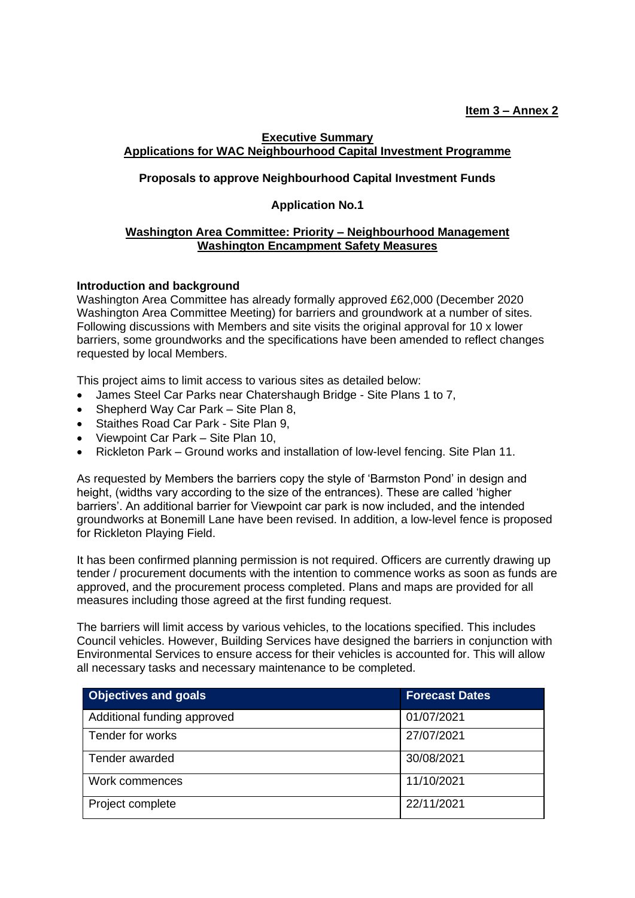## **Executive Summary Applications for WAC Neighbourhood Capital Investment Programme**

# **Proposals to approve Neighbourhood Capital Investment Funds**

## **Application No.1**

#### **Washington Area Committee: Priority – Neighbourhood Management Washington Encampment Safety Measures**

#### **Introduction and background**

Washington Area Committee has already formally approved £62,000 (December 2020 Washington Area Committee Meeting) for barriers and groundwork at a number of sites. Following discussions with Members and site visits the original approval for 10 x lower barriers, some groundworks and the specifications have been amended to reflect changes requested by local Members.

This project aims to limit access to various sites as detailed below:

- James Steel Car Parks near Chatershaugh Bridge Site Plans 1 to 7,
- Shepherd Way Car Park Site Plan 8,
- Staithes Road Car Park Site Plan 9,
- Viewpoint Car Park Site Plan 10,
- Rickleton Park Ground works and installation of low-level fencing. Site Plan 11.

As requested by Members the barriers copy the style of 'Barmston Pond' in design and height, (widths vary according to the size of the entrances). These are called 'higher barriers'. An additional barrier for Viewpoint car park is now included, and the intended groundworks at Bonemill Lane have been revised. In addition, a low-level fence is proposed for Rickleton Playing Field.

It has been confirmed planning permission is not required. Officers are currently drawing up tender / procurement documents with the intention to commence works as soon as funds are approved, and the procurement process completed. Plans and maps are provided for all measures including those agreed at the first funding request.

The barriers will limit access by various vehicles, to the locations specified. This includes Council vehicles. However, Building Services have designed the barriers in conjunction with Environmental Services to ensure access for their vehicles is accounted for. This will allow all necessary tasks and necessary maintenance to be completed.

| <b>Objectives and goals</b> | <b>Forecast Dates</b> |
|-----------------------------|-----------------------|
| Additional funding approved | 01/07/2021            |
| Tender for works            | 27/07/2021            |
| Tender awarded              | 30/08/2021            |
| Work commences              | 11/10/2021            |
| Project complete            | 22/11/2021            |